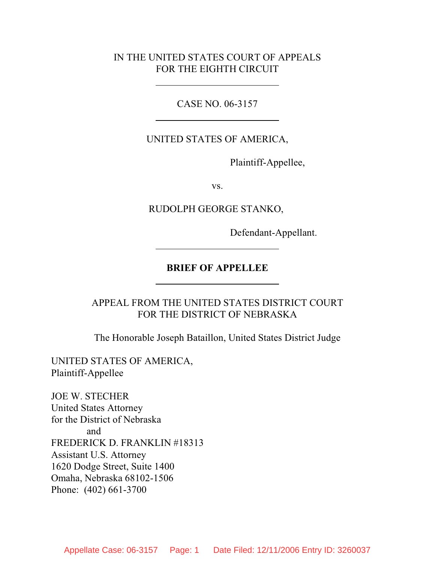### IN THE UNITED STATES COURT OF APPEALS FOR THE EIGHTH CIRCUIT

CASE NO. 06-3157

UNITED STATES OF AMERICA,

Plaintiff-Appellee,

vs.

RUDOLPH GEORGE STANKO,

Defendant-Appellant.

### **BRIEF OF APPELLEE**

APPEAL FROM THE UNITED STATES DISTRICT COURT FOR THE DISTRICT OF NEBRASKA

The Honorable Joseph Bataillon, United States District Judge

UNITED STATES OF AMERICA, Plaintiff-Appellee

JOE W. STECHER United States Attorney for the District of Nebraska and FREDERICK D. FRANKLIN #18313 Assistant U.S. Attorney 1620 Dodge Street, Suite 1400 Omaha, Nebraska 68102-1506 Phone: (402) 661-3700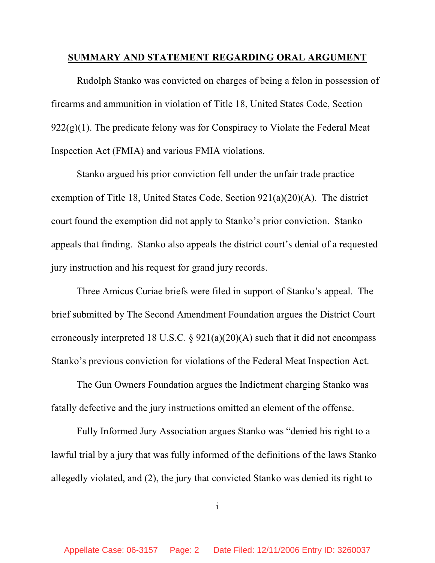#### **SUMMARY AND STATEMENT REGARDING ORAL ARGUMENT**

Rudolph Stanko was convicted on charges of being a felon in possession of firearms and ammunition in violation of Title 18, United States Code, Section  $922(g)(1)$ . The predicate felony was for Conspiracy to Violate the Federal Meat Inspection Act (FMIA) and various FMIA violations.

Stanko argued his prior conviction fell under the unfair trade practice exemption of Title 18, United States Code, Section 921(a)(20)(A). The district court found the exemption did not apply to Stanko's prior conviction. Stanko appeals that finding. Stanko also appeals the district court's denial of a requested jury instruction and his request for grand jury records.

Three Amicus Curiae briefs were filed in support of Stanko's appeal. The brief submitted by The Second Amendment Foundation argues the District Court erroneously interpreted 18 U.S.C. §  $921(a)(20)(A)$  such that it did not encompass Stanko's previous conviction for violations of the Federal Meat Inspection Act.

The Gun Owners Foundation argues the Indictment charging Stanko was fatally defective and the jury instructions omitted an element of the offense.

Fully Informed Jury Association argues Stanko was "denied his right to a lawful trial by a jury that was fully informed of the definitions of the laws Stanko allegedly violated, and (2), the jury that convicted Stanko was denied its right to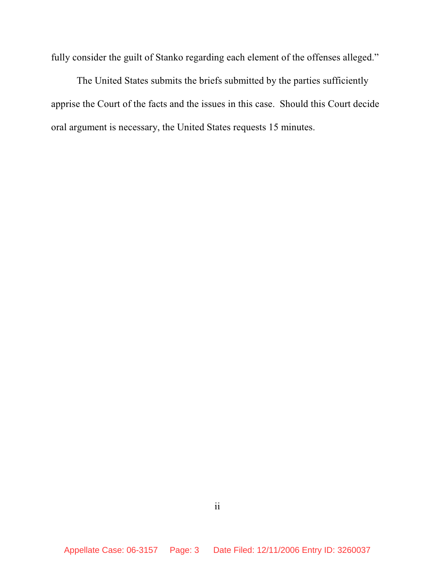fully consider the guilt of Stanko regarding each element of the offenses alleged."

The United States submits the briefs submitted by the parties sufficiently apprise the Court of the facts and the issues in this case. Should this Court decide oral argument is necessary, the United States requests 15 minutes.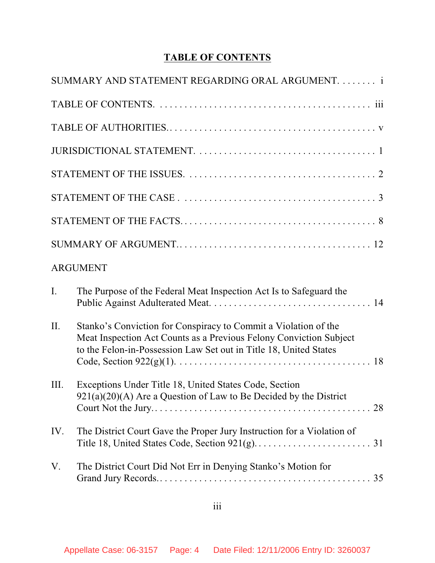# **TABLE OF CONTENTS**

|      | SUMMARY AND STATEMENT REGARDING ORAL ARGUMENT.  i                                                                                                                                                          |
|------|------------------------------------------------------------------------------------------------------------------------------------------------------------------------------------------------------------|
|      |                                                                                                                                                                                                            |
|      |                                                                                                                                                                                                            |
|      |                                                                                                                                                                                                            |
|      |                                                                                                                                                                                                            |
|      |                                                                                                                                                                                                            |
|      |                                                                                                                                                                                                            |
|      |                                                                                                                                                                                                            |
|      | <b>ARGUMENT</b>                                                                                                                                                                                            |
| I.   | The Purpose of the Federal Meat Inspection Act Is to Safeguard the                                                                                                                                         |
| II.  | Stanko's Conviction for Conspiracy to Commit a Violation of the<br>Meat Inspection Act Counts as a Previous Felony Conviction Subject<br>to the Felon-in-Possession Law Set out in Title 18, United States |
| III. | Exceptions Under Title 18, United States Code, Section<br>$921(a)(20)(A)$ Are a Question of Law to Be Decided by the District                                                                              |
| IV.  | The District Court Gave the Proper Jury Instruction for a Violation of                                                                                                                                     |
| V.   | The District Court Did Not Err in Denying Stanko's Motion for                                                                                                                                              |
|      |                                                                                                                                                                                                            |

# iii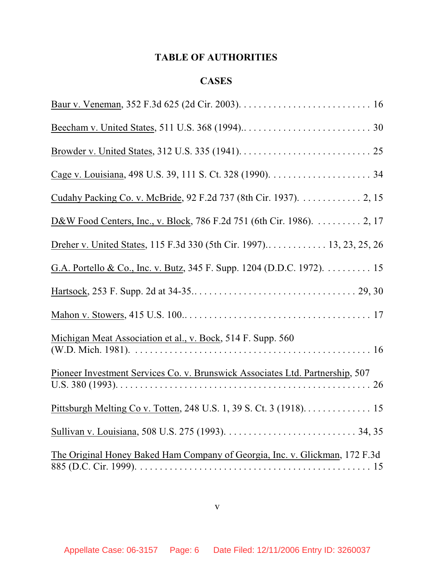# **TABLE OF AUTHORITIES**

## **CASES**

| D&W Food Centers, Inc., v. Block, 786 F.2d 751 (6th Cir. 1986). 2, 17         |
|-------------------------------------------------------------------------------|
| Dreher v. United States, 115 F.3d 330 (5th Cir. 1997) 13, 23, 25, 26          |
| G.A. Portello & Co., Inc. v. Butz, 345 F. Supp. 1204 (D.D.C. 1972). 15        |
|                                                                               |
|                                                                               |
| Michigan Meat Association et al., v. Bock, 514 F. Supp. 560                   |
| Pioneer Investment Services Co. v. Brunswick Associates Ltd. Partnership, 507 |
| Pittsburgh Melting Co v. Totten, 248 U.S. 1, 39 S. Ct. 3 (1918). 15           |
|                                                                               |
| The Original Honey Baked Ham Company of Georgia, Inc. v. Glickman, 172 F.3d   |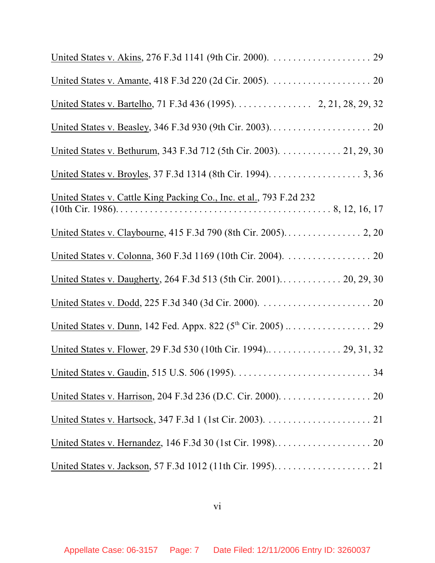| United States v. Bartelho, 71 F.3d 436 (1995). 2, 21, 28, 29, 32           |
|----------------------------------------------------------------------------|
|                                                                            |
| United States v. Bethurum, 343 F.3d 712 (5th Cir. 2003). 21, 29, 30        |
|                                                                            |
| <u>United States v. Cattle King Packing Co., Inc. et al., 793 F.2d 232</u> |
| United States v. Claybourne, 415 F.3d 790 (8th Cir. 2005). 2, 20           |
|                                                                            |
|                                                                            |
|                                                                            |
|                                                                            |
|                                                                            |
|                                                                            |
|                                                                            |
|                                                                            |
|                                                                            |
|                                                                            |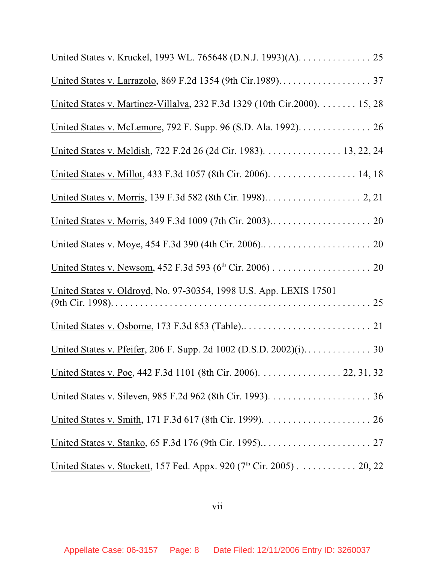| United States v. Kruckel, 1993 WL. 765648 (D.N.J. 1993)(A). 25            |
|---------------------------------------------------------------------------|
|                                                                           |
| United States v. Martinez-Villalva, 232 F.3d 1329 (10th Cir.2000). 15, 28 |
| United States v. McLemore, 792 F. Supp. 96 (S.D. Ala. 1992). 26           |
| United States v. Meldish, 722 F.2d 26 (2d Cir. 1983). 13, 22, 24          |
| United States v. Millot, 433 F.3d 1057 (8th Cir. 2006). 14, 18            |
|                                                                           |
|                                                                           |
|                                                                           |
|                                                                           |
| United States v. Oldroyd, No. 97-30354, 1998 U.S. App. LEXIS 17501        |
|                                                                           |
|                                                                           |
| United States v. Poe, 442 F.3d 1101 (8th Cir. 2006). 22, 31, 32           |
|                                                                           |
|                                                                           |
|                                                                           |
| United States v. Stockett, 157 Fed. Appx. 920 ( $7th$ Cir. 2005) 20, 22   |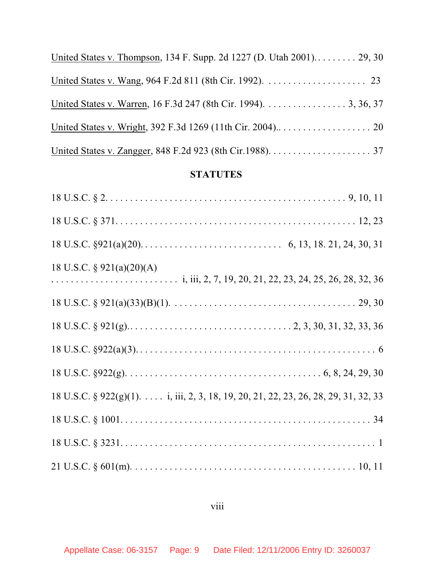| United States v. Thompson, 134 F. Supp. 2d 1227 (D. Utah 2001) 29, 30 |
|-----------------------------------------------------------------------|
|                                                                       |
| United States v. Warren, 16 F.3d 247 (8th Cir. 1994). 3, 36, 37       |
|                                                                       |
|                                                                       |

# **STATUTES**

| 18 U.S.C. $\S$ 921(a)(20)(A)                                                        |
|-------------------------------------------------------------------------------------|
|                                                                                     |
|                                                                                     |
|                                                                                     |
|                                                                                     |
| 18 U.S.C. § 922(g)(1). i, iii, 2, 3, 18, 19, 20, 21, 22, 23, 26, 28, 29, 31, 32, 33 |
|                                                                                     |
|                                                                                     |
|                                                                                     |

# viii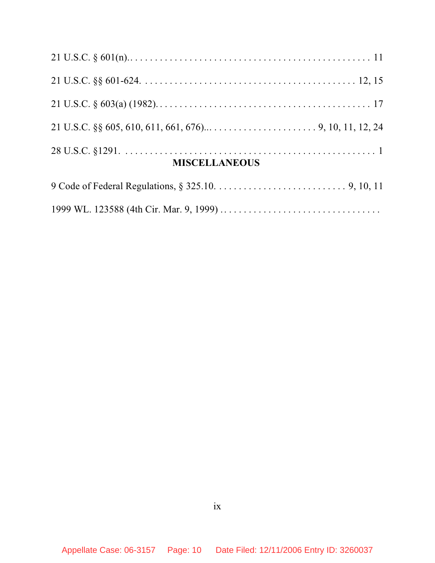| <b>MISCELLANEOUS</b> |  |
|----------------------|--|
|                      |  |

|--|--|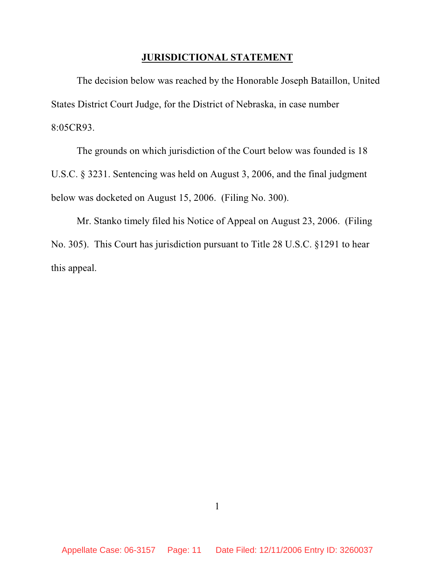### **JURISDICTIONAL STATEMENT**

The decision below was reached by the Honorable Joseph Bataillon, United States District Court Judge, for the District of Nebraska, in case number 8:05CR93.

The grounds on which jurisdiction of the Court below was founded is 18 U.S.C. § 3231. Sentencing was held on August 3, 2006, and the final judgment below was docketed on August 15, 2006. (Filing No. 300).

Mr. Stanko timely filed his Notice of Appeal on August 23, 2006. (Filing No. 305). This Court has jurisdiction pursuant to Title 28 U.S.C. §1291 to hear this appeal.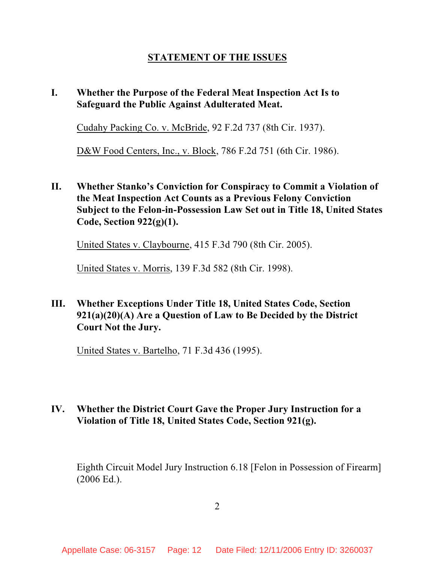# **STATEMENT OF THE ISSUES**

# **I. Whether the Purpose of the Federal Meat Inspection Act Is to Safeguard the Public Against Adulterated Meat.**

Cudahy Packing Co. v. McBride, 92 F.2d 737 (8th Cir. 1937).

D&W Food Centers, Inc., v. Block, 786 F.2d 751 (6th Cir. 1986).

**II. Whether Stanko's Conviction for Conspiracy to Commit a Violation of the Meat Inspection Act Counts as a Previous Felony Conviction Subject to the Felon-in-Possession Law Set out in Title 18, United States Code, Section 922(g)(1).**

United States v. Claybourne, 415 F.3d 790 (8th Cir. 2005).

United States v. Morris, 139 F.3d 582 (8th Cir. 1998).

**III. Whether Exceptions Under Title 18, United States Code, Section 921(a)(20)(A) Are a Question of Law to Be Decided by the District Court Not the Jury.**

United States v. Bartelho, 71 F.3d 436 (1995).

## **IV. Whether the District Court Gave the Proper Jury Instruction for a Violation of Title 18, United States Code, Section 921(g).**

Eighth Circuit Model Jury Instruction 6.18 [Felon in Possession of Firearm] (2006 Ed.).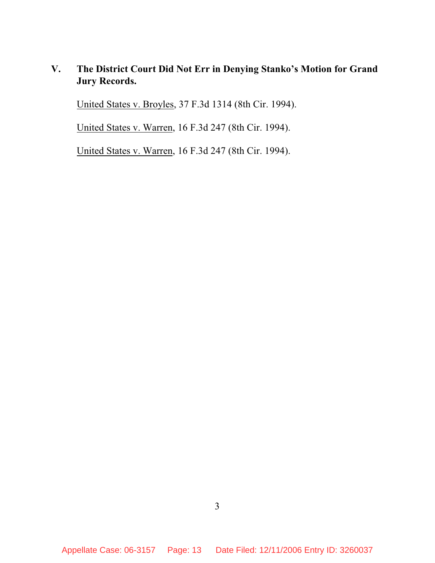# **V. The District Court Did Not Err in Denying Stanko's Motion for Grand Jury Records.**

United States v. Broyles, 37 F.3d 1314 (8th Cir. 1994).

United States v. Warren, 16 F.3d 247 (8th Cir. 1994).

United States v. Warren, 16 F.3d 247 (8th Cir. 1994).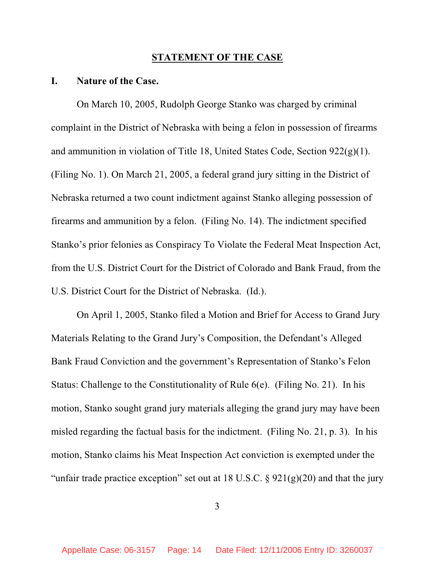#### **STATEMENT OF THE CASE**

#### **I. Nature of the Case.**

On March 10, 2005, Rudolph George Stanko was charged by criminal complaint in the District of Nebraska with being a felon in possession of firearms and ammunition in violation of Title 18, United States Code, Section 922(g)(1). (Filing No. 1). On March 21, 2005, a federal grand jury sitting in the District of Nebraska returned a two count indictment against Stanko alleging possession of firearms and ammunition by a felon. (Filing No. 14). The indictment specified Stanko's prior felonies as Conspiracy To Violate the Federal Meat Inspection Act, from the U.S. District Court for the District of Colorado and Bank Fraud, from the U.S. District Court for the District of Nebraska. (Id.).

On April 1, 2005, Stanko filed a Motion and Brief for Access to Grand Jury Materials Relating to the Grand Jury's Composition, the Defendant's Alleged Bank Fraud Conviction and the government's Representation of Stanko's Felon Status: Challenge to the Constitutionality of Rule 6(e). (Filing No. 21). In his motion, Stanko sought grand jury materials alleging the grand jury may have been misled regarding the factual basis for the indictment. (Filing No. 21, p. 3). In his motion, Stanko claims his Meat Inspection Act conviction is exempted under the "unfair trade practice exception" set out at 18 U.S.C.  $\S$  921(g)(20) and that the jury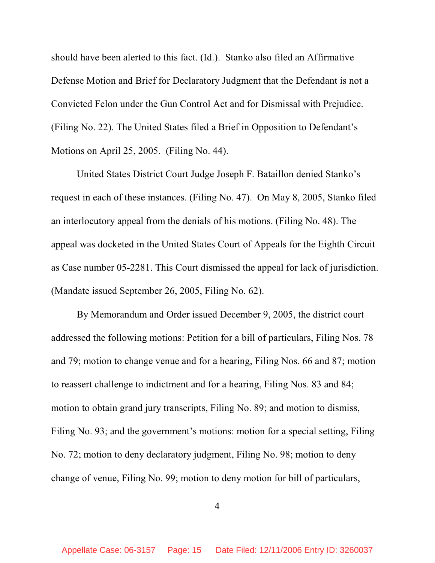should have been alerted to this fact. (Id.). Stanko also filed an Affirmative Defense Motion and Brief for Declaratory Judgment that the Defendant is not a Convicted Felon under the Gun Control Act and for Dismissal with Prejudice. (Filing No. 22). The United States filed a Brief in Opposition to Defendant's Motions on April 25, 2005. (Filing No. 44).

United States District Court Judge Joseph F. Bataillon denied Stanko's request in each of these instances. (Filing No. 47). On May 8, 2005, Stanko filed an interlocutory appeal from the denials of his motions. (Filing No. 48). The appeal was docketed in the United States Court of Appeals for the Eighth Circuit as Case number 05-2281. This Court dismissed the appeal for lack of jurisdiction. (Mandate issued September 26, 2005, Filing No. 62).

By Memorandum and Order issued December 9, 2005, the district court addressed the following motions: Petition for a bill of particulars, Filing Nos. 78 and 79; motion to change venue and for a hearing, Filing Nos. 66 and 87; motion to reassert challenge to indictment and for a hearing, Filing Nos. 83 and 84; motion to obtain grand jury transcripts, Filing No. 89; and motion to dismiss, Filing No. 93; and the government's motions: motion for a special setting, Filing No. 72; motion to deny declaratory judgment, Filing No. 98; motion to deny change of venue, Filing No. 99; motion to deny motion for bill of particulars,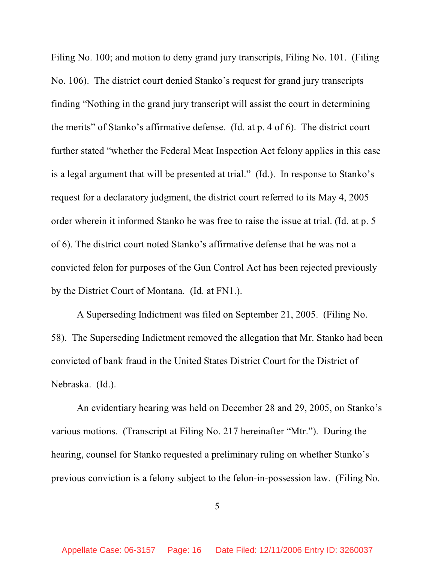Filing No. 100; and motion to deny grand jury transcripts, Filing No. 101. (Filing No. 106). The district court denied Stanko's request for grand jury transcripts finding "Nothing in the grand jury transcript will assist the court in determining the merits" of Stanko's affirmative defense. (Id. at p. 4 of 6). The district court further stated "whether the Federal Meat Inspection Act felony applies in this case is a legal argument that will be presented at trial." (Id.). In response to Stanko's request for a declaratory judgment, the district court referred to its May 4, 2005 order wherein it informed Stanko he was free to raise the issue at trial. (Id. at p. 5 of 6). The district court noted Stanko's affirmative defense that he was not a convicted felon for purposes of the Gun Control Act has been rejected previously by the District Court of Montana. (Id. at FN1.).

A Superseding Indictment was filed on September 21, 2005. (Filing No. 58). The Superseding Indictment removed the allegation that Mr. Stanko had been convicted of bank fraud in the United States District Court for the District of Nebraska. (Id.).

An evidentiary hearing was held on December 28 and 29, 2005, on Stanko's various motions. (Transcript at Filing No. 217 hereinafter "Mtr."). During the hearing, counsel for Stanko requested a preliminary ruling on whether Stanko's previous conviction is a felony subject to the felon-in-possession law. (Filing No.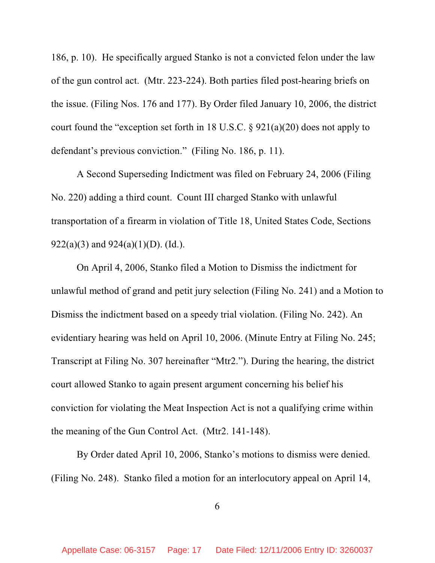186, p. 10). He specifically argued Stanko is not a convicted felon under the law of the gun control act. (Mtr. 223-224). Both parties filed post-hearing briefs on the issue. (Filing Nos. 176 and 177). By Order filed January 10, 2006, the district court found the "exception set forth in 18 U.S.C. § 921(a)(20) does not apply to defendant's previous conviction." (Filing No. 186, p. 11).

A Second Superseding Indictment was filed on February 24, 2006 (Filing No. 220) adding a third count. Count III charged Stanko with unlawful transportation of a firearm in violation of Title 18, United States Code, Sections 922(a)(3) and 924(a)(1)(D). (Id.).

On April 4, 2006, Stanko filed a Motion to Dismiss the indictment for unlawful method of grand and petit jury selection (Filing No. 241) and a Motion to Dismiss the indictment based on a speedy trial violation. (Filing No. 242). An evidentiary hearing was held on April 10, 2006. (Minute Entry at Filing No. 245; Transcript at Filing No. 307 hereinafter "Mtr2."). During the hearing, the district court allowed Stanko to again present argument concerning his belief his conviction for violating the Meat Inspection Act is not a qualifying crime within the meaning of the Gun Control Act. (Mtr2. 141-148).

By Order dated April 10, 2006, Stanko's motions to dismiss were denied. (Filing No. 248). Stanko filed a motion for an interlocutory appeal on April 14,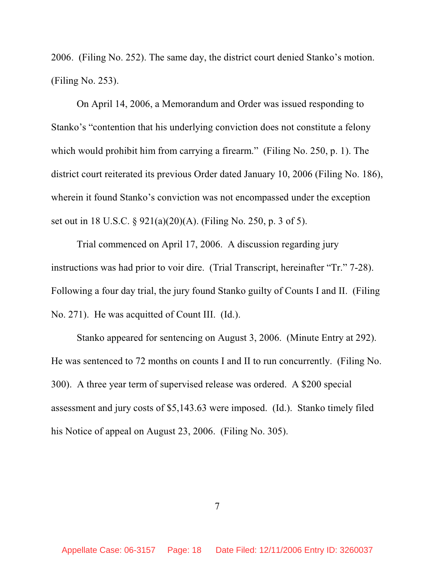2006. (Filing No. 252). The same day, the district court denied Stanko's motion. (Filing No. 253).

On April 14, 2006, a Memorandum and Order was issued responding to Stanko's "contention that his underlying conviction does not constitute a felony which would prohibit him from carrying a firearm." (Filing No. 250, p. 1). The district court reiterated its previous Order dated January 10, 2006 (Filing No. 186), wherein it found Stanko's conviction was not encompassed under the exception set out in 18 U.S.C. § 921(a)(20)(A). (Filing No. 250, p. 3 of 5).

Trial commenced on April 17, 2006. A discussion regarding jury instructions was had prior to voir dire. (Trial Transcript, hereinafter "Tr." 7-28). Following a four day trial, the jury found Stanko guilty of Counts I and II. (Filing No. 271). He was acquitted of Count III. (Id.).

Stanko appeared for sentencing on August 3, 2006. (Minute Entry at 292). He was sentenced to 72 months on counts I and II to run concurrently. (Filing No. 300). A three year term of supervised release was ordered. A \$200 special assessment and jury costs of \$5,143.63 were imposed. (Id.). Stanko timely filed his Notice of appeal on August 23, 2006. (Filing No. 305).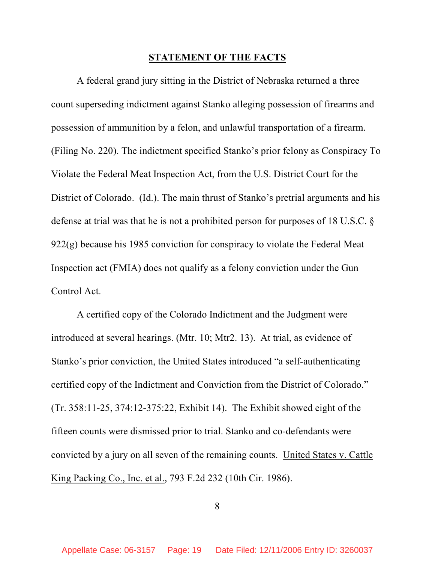### **STATEMENT OF THE FACTS**

A federal grand jury sitting in the District of Nebraska returned a three count superseding indictment against Stanko alleging possession of firearms and possession of ammunition by a felon, and unlawful transportation of a firearm. (Filing No. 220). The indictment specified Stanko's prior felony as Conspiracy To Violate the Federal Meat Inspection Act, from the U.S. District Court for the District of Colorado. (Id.). The main thrust of Stanko's pretrial arguments and his defense at trial was that he is not a prohibited person for purposes of 18 U.S.C. §  $922(g)$  because his 1985 conviction for conspiracy to violate the Federal Meat Inspection act (FMIA) does not qualify as a felony conviction under the Gun Control Act.

A certified copy of the Colorado Indictment and the Judgment were introduced at several hearings. (Mtr. 10; Mtr2. 13). At trial, as evidence of Stanko's prior conviction, the United States introduced "a self-authenticating certified copy of the Indictment and Conviction from the District of Colorado." (Tr. 358:11-25, 374:12-375:22, Exhibit 14). The Exhibit showed eight of the fifteen counts were dismissed prior to trial. Stanko and co-defendants were convicted by a jury on all seven of the remaining counts. United States v. Cattle King Packing Co., Inc. et al., 793 F.2d 232 (10th Cir. 1986).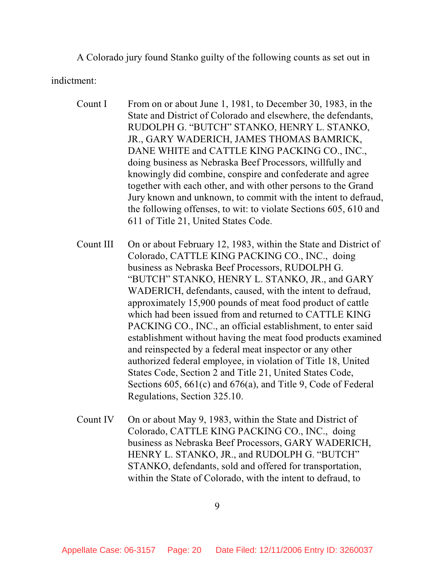A Colorado jury found Stanko guilty of the following counts as set out in

indictment:

- Count I From on or about June 1, 1981, to December 30, 1983, in the State and District of Colorado and elsewhere, the defendants, RUDOLPH G. "BUTCH" STANKO, HENRY L. STANKO, JR., GARY WADERICH, JAMES THOMAS BAMRICK, DANE WHITE and CATTLE KING PACKING CO., INC., doing business as Nebraska Beef Processors, willfully and knowingly did combine, conspire and confederate and agree together with each other, and with other persons to the Grand Jury known and unknown, to commit with the intent to defraud, the following offenses, to wit: to violate Sections 605, 610 and 611 of Title 21, United States Code.
- Count III On or about February 12, 1983, within the State and District of Colorado, CATTLE KING PACKING CO., INC., doing business as Nebraska Beef Processors, RUDOLPH G. "BUTCH" STANKO, HENRY L. STANKO, JR., and GARY WADERICH, defendants, caused, with the intent to defraud, approximately 15,900 pounds of meat food product of cattle which had been issued from and returned to CATTLE KING PACKING CO., INC., an official establishment, to enter said establishment without having the meat food products examined and reinspected by a federal meat inspector or any other authorized federal employee, in violation of Title 18, United States Code, Section 2 and Title 21, United States Code, Sections 605, 661(c) and 676(a), and Title 9, Code of Federal Regulations, Section 325.10.
- Count IV On or about May 9, 1983, within the State and District of Colorado, CATTLE KING PACKING CO., INC., doing business as Nebraska Beef Processors, GARY WADERICH, HENRY L. STANKO, JR., and RUDOLPH G. "BUTCH" STANKO, defendants, sold and offered for transportation, within the State of Colorado, with the intent to defraud, to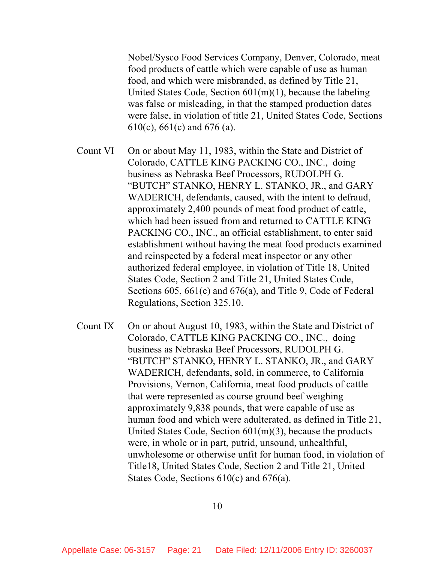Nobel/Sysco Food Services Company, Denver, Colorado, meat food products of cattle which were capable of use as human food, and which were misbranded, as defined by Title 21, United States Code, Section 601(m)(1), because the labeling was false or misleading, in that the stamped production dates were false, in violation of title 21, United States Code, Sections 610(c), 661(c) and 676 (a).

- Count VI On or about May 11, 1983, within the State and District of Colorado, CATTLE KING PACKING CO., INC., doing business as Nebraska Beef Processors, RUDOLPH G. "BUTCH" STANKO, HENRY L. STANKO, JR., and GARY WADERICH, defendants, caused, with the intent to defraud, approximately 2,400 pounds of meat food product of cattle, which had been issued from and returned to CATTLE KING PACKING CO., INC., an official establishment, to enter said establishment without having the meat food products examined and reinspected by a federal meat inspector or any other authorized federal employee, in violation of Title 18, United States Code, Section 2 and Title 21, United States Code, Sections 605, 661(c) and 676(a), and Title 9, Code of Federal Regulations, Section 325.10.
- Count IX On or about August 10, 1983, within the State and District of Colorado, CATTLE KING PACKING CO., INC., doing business as Nebraska Beef Processors, RUDOLPH G. "BUTCH" STANKO, HENRY L. STANKO, JR., and GARY WADERICH, defendants, sold, in commerce, to California Provisions, Vernon, California, meat food products of cattle that were represented as course ground beef weighing approximately 9,838 pounds, that were capable of use as human food and which were adulterated, as defined in Title 21, United States Code, Section 601(m)(3), because the products were, in whole or in part, putrid, unsound, unhealthful, unwholesome or otherwise unfit for human food, in violation of Title18, United States Code, Section 2 and Title 21, United States Code, Sections 610(c) and 676(a).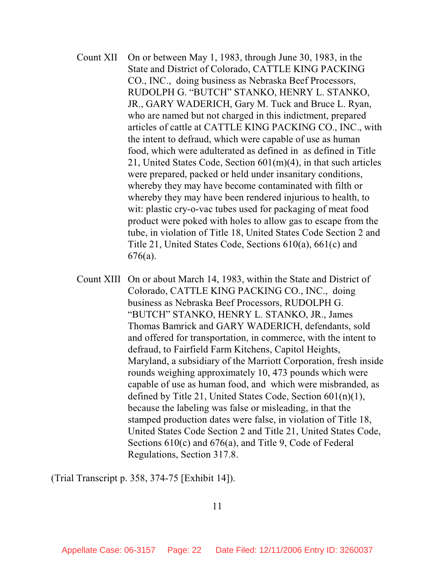- Count XII On or between May 1, 1983, through June 30, 1983, in the State and District of Colorado, CATTLE KING PACKING CO., INC., doing business as Nebraska Beef Processors, RUDOLPH G. "BUTCH" STANKO, HENRY L. STANKO, JR., GARY WADERICH, Gary M. Tuck and Bruce L. Ryan, who are named but not charged in this indictment, prepared articles of cattle at CATTLE KING PACKING CO., INC., with the intent to defraud, which were capable of use as human food, which were adulterated as defined in as defined in Title 21, United States Code, Section 601(m)(4), in that such articles were prepared, packed or held under insanitary conditions, whereby they may have become contaminated with filth or whereby they may have been rendered injurious to health, to wit: plastic cry-o-vac tubes used for packaging of meat food product were poked with holes to allow gas to escape from the tube, in violation of Title 18, United States Code Section 2 and Title 21, United States Code, Sections 610(a), 661(c) and 676(a).
- Count XIII On or about March 14, 1983, within the State and District of Colorado, CATTLE KING PACKING CO., INC., doing business as Nebraska Beef Processors, RUDOLPH G. "BUTCH" STANKO, HENRY L. STANKO, JR., James Thomas Bamrick and GARY WADERICH, defendants, sold and offered for transportation, in commerce, with the intent to defraud, to Fairfield Farm Kitchens, Capitol Heights, Maryland, a subsidiary of the Marriott Corporation, fresh inside rounds weighing approximately 10, 473 pounds which were capable of use as human food, and which were misbranded, as defined by Title 21, United States Code, Section 601(n)(1), because the labeling was false or misleading, in that the stamped production dates were false, in violation of Title 18, United States Code Section 2 and Title 21, United States Code, Sections 610(c) and 676(a), and Title 9, Code of Federal Regulations, Section 317.8.

(Trial Transcript p. 358, 374-75 [Exhibit 14]).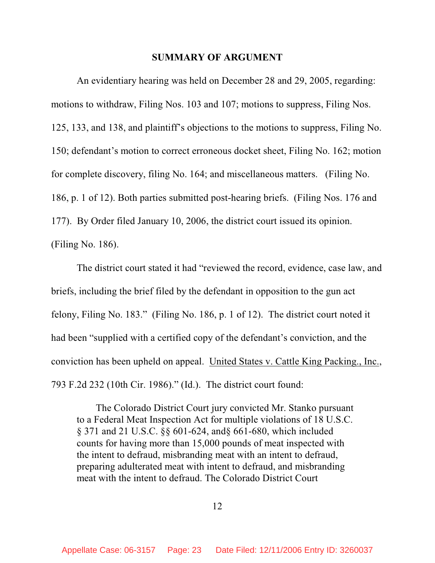#### **SUMMARY OF ARGUMENT**

An evidentiary hearing was held on December 28 and 29, 2005, regarding: motions to withdraw, Filing Nos. 103 and 107; motions to suppress, Filing Nos. 125, 133, and 138, and plaintiff's objections to the motions to suppress, Filing No. 150; defendant's motion to correct erroneous docket sheet, Filing No. 162; motion for complete discovery, filing No. 164; and miscellaneous matters. (Filing No. 186, p. 1 of 12). Both parties submitted post-hearing briefs. (Filing Nos. 176 and 177). By Order filed January 10, 2006, the district court issued its opinion. (Filing No. 186).

The district court stated it had "reviewed the record, evidence, case law, and briefs, including the brief filed by the defendant in opposition to the gun act felony, Filing No. 183." (Filing No. 186, p. 1 of 12). The district court noted it had been "supplied with a certified copy of the defendant's conviction, and the conviction has been upheld on appeal. United States v. Cattle King Packing., Inc., 793 F.2d 232 (10th Cir. 1986)." (Id.). The district court found:

The Colorado District Court jury convicted Mr. Stanko pursuant to a Federal Meat Inspection Act for multiple violations of 18 U.S.C. § 371 and 21 U.S.C. §§ 601-624, and§ 661-680, which included counts for having more than 15,000 pounds of meat inspected with the intent to defraud, misbranding meat with an intent to defraud, preparing adulterated meat with intent to defraud, and misbranding meat with the intent to defraud. The Colorado District Court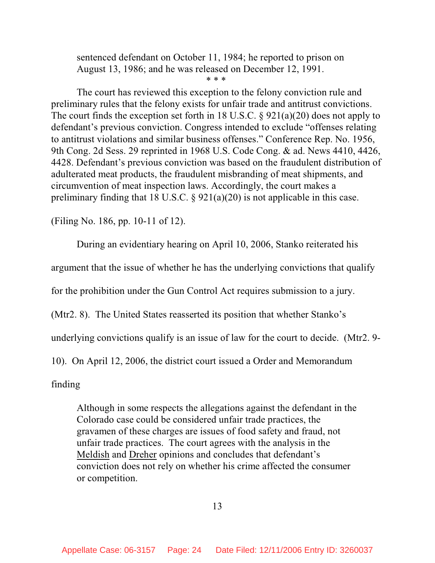sentenced defendant on October 11, 1984; he reported to prison on August 13, 1986; and he was released on December 12, 1991.

\* \* \*

The court has reviewed this exception to the felony conviction rule and preliminary rules that the felony exists for unfair trade and antitrust convictions. The court finds the exception set forth in 18 U.S.C. § 921(a)(20) does not apply to defendant's previous conviction. Congress intended to exclude "offenses relating to antitrust violations and similar business offenses." Conference Rep. No. 1956, 9th Cong. 2d Sess. 29 reprinted in 1968 U.S. Code Cong. & ad. News 4410, 4426, 4428. Defendant's previous conviction was based on the fraudulent distribution of adulterated meat products, the fraudulent misbranding of meat shipments, and circumvention of meat inspection laws. Accordingly, the court makes a preliminary finding that 18 U.S.C. § 921(a)(20) is not applicable in this case.

(Filing No. 186, pp. 10-11 of 12).

During an evidentiary hearing on April 10, 2006, Stanko reiterated his

argument that the issue of whether he has the underlying convictions that qualify

for the prohibition under the Gun Control Act requires submission to a jury.

(Mtr2. 8). The United States reasserted its position that whether Stanko's

underlying convictions qualify is an issue of law for the court to decide. (Mtr2. 9-

10). On April 12, 2006, the district court issued a Order and Memorandum

finding

Although in some respects the allegations against the defendant in the Colorado case could be considered unfair trade practices, the gravamen of these charges are issues of food safety and fraud, not unfair trade practices. The court agrees with the analysis in the Meldish and Dreher opinions and concludes that defendant's conviction does not rely on whether his crime affected the consumer or competition.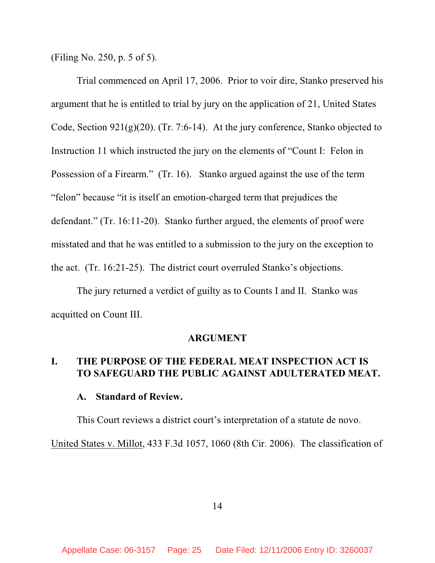(Filing No. 250, p. 5 of 5).

Trial commenced on April 17, 2006. Prior to voir dire, Stanko preserved his argument that he is entitled to trial by jury on the application of 21, United States Code, Section  $921(g)(20)$ . (Tr. 7:6-14). At the jury conference, Stanko objected to Instruction 11 which instructed the jury on the elements of "Count I: Felon in Possession of a Firearm." (Tr. 16). Stanko argued against the use of the term "felon" because "it is itself an emotion-charged term that prejudices the defendant." (Tr. 16:11-20). Stanko further argued, the elements of proof were misstated and that he was entitled to a submission to the jury on the exception to the act. (Tr. 16:21-25). The district court overruled Stanko's objections.

The jury returned a verdict of guilty as to Counts I and II. Stanko was acquitted on Count III.

#### **ARGUMENT**

### **I. THE PURPOSE OF THE FEDERAL MEAT INSPECTION ACT IS TO SAFEGUARD THE PUBLIC AGAINST ADULTERATED MEAT.**

#### **A. Standard of Review.**

This Court reviews a district court's interpretation of a statute de novo. United States v. Millot, 433 F.3d 1057, 1060 (8th Cir. 2006). The classification of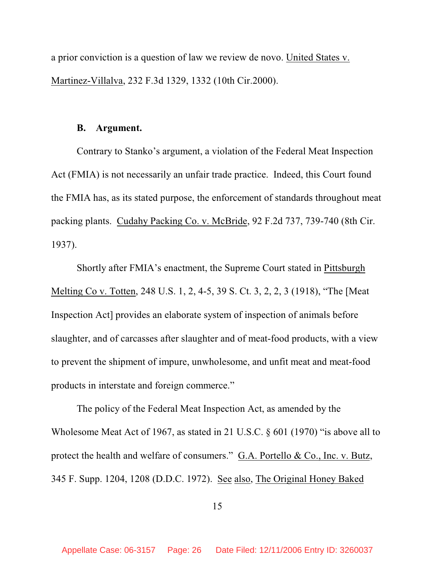a prior conviction is a question of law we review de novo. United States v. Martinez-Villalva, 232 F.3d 1329, 1332 (10th Cir.2000).

#### **B. Argument.**

Contrary to Stanko's argument, a violation of the Federal Meat Inspection Act (FMIA) is not necessarily an unfair trade practice. Indeed, this Court found the FMIA has, as its stated purpose, the enforcement of standards throughout meat packing plants. Cudahy Packing Co. v. McBride, 92 F.2d 737, 739-740 (8th Cir. 1937).

Shortly after FMIA's enactment, the Supreme Court stated in Pittsburgh Melting Co v. Totten, 248 U.S. 1, 2, 4-5, 39 S. Ct. 3, 2, 2, 3 (1918), "The [Meat Inspection Act] provides an elaborate system of inspection of animals before slaughter, and of carcasses after slaughter and of meat-food products, with a view to prevent the shipment of impure, unwholesome, and unfit meat and meat-food products in interstate and foreign commerce."

The policy of the Federal Meat Inspection Act, as amended by the Wholesome Meat Act of 1967, as stated in 21 U.S.C. § 601 (1970) "is above all to protect the health and welfare of consumers." G.A. Portello & Co., Inc. v. Butz, 345 F. Supp. 1204, 1208 (D.D.C. 1972). See also, The Original Honey Baked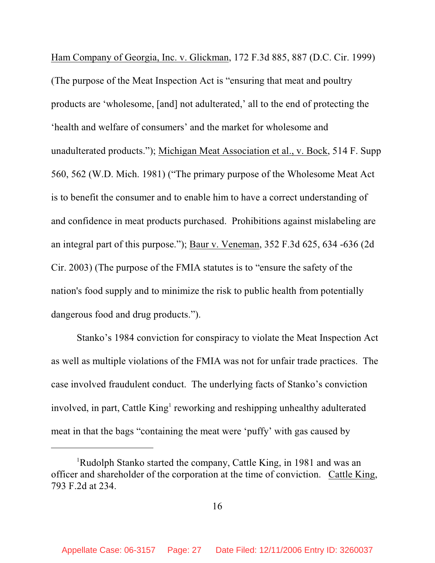Ham Company of Georgia, Inc. v. Glickman, 172 F.3d 885, 887 (D.C. Cir. 1999) (The purpose of the Meat Inspection Act is "ensuring that meat and poultry products are 'wholesome, [and] not adulterated,' all to the end of protecting the 'health and welfare of consumers' and the market for wholesome and unadulterated products."); Michigan Meat Association et al., v. Bock, 514 F. Supp 560, 562 (W.D. Mich. 1981) ("The primary purpose of the Wholesome Meat Act is to benefit the consumer and to enable him to have a correct understanding of and confidence in meat products purchased. Prohibitions against mislabeling are an integral part of this purpose."); Baur v. Veneman, 352 F.3d 625, 634 -636 (2d Cir. 2003) (The purpose of the FMIA statutes is to "ensure the safety of the nation's food supply and to minimize the risk to public health from potentially dangerous food and drug products.").

Stanko's 1984 conviction for conspiracy to violate the Meat Inspection Act as well as multiple violations of the FMIA was not for unfair trade practices. The case involved fraudulent conduct. The underlying facts of Stanko's conviction involved, in part, Cattle King<sup>1</sup> reworking and reshipping unhealthy adulterated meat in that the bags "containing the meat were 'puffy' with gas caused by

<sup>&</sup>lt;sup>1</sup>Rudolph Stanko started the company, Cattle King, in 1981 and was an officer and shareholder of the corporation at the time of conviction. Cattle King, 793 F.2d at 234.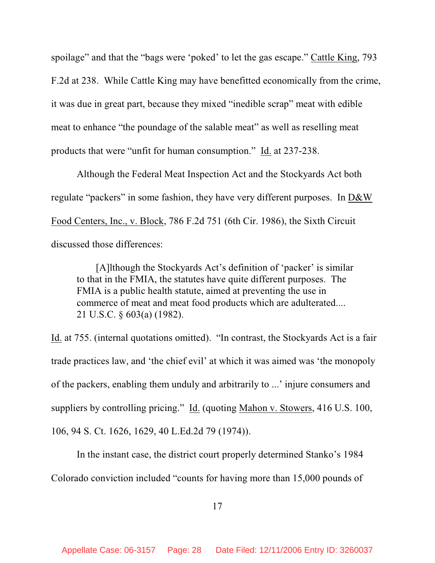spoilage" and that the "bags were 'poked' to let the gas escape." Cattle King, 793 F.2d at 238. While Cattle King may have benefitted economically from the crime, it was due in great part, because they mixed "inedible scrap" meat with edible meat to enhance "the poundage of the salable meat" as well as reselling meat products that were "unfit for human consumption." Id. at 237-238.

Although the Federal Meat Inspection Act and the Stockyards Act both regulate "packers" in some fashion, they have very different purposes. In D&W Food Centers, Inc., v. Block, 786 F.2d 751 (6th Cir. 1986), the Sixth Circuit discussed those differences:

[A]lthough the Stockyards Act's definition of 'packer' is similar to that in the FMIA, the statutes have quite different purposes. The FMIA is a public health statute, aimed at preventing the use in commerce of meat and meat food products which are adulterated.... 21 U.S.C. § 603(a) (1982).

Id. at 755. (internal quotations omitted). "In contrast, the Stockyards Act is a fair trade practices law, and 'the chief evil' at which it was aimed was 'the monopoly of the packers, enabling them unduly and arbitrarily to ...' injure consumers and suppliers by controlling pricing." Id. (quoting Mahon v. Stowers, 416 U.S. 100, 106, 94 S. Ct. 1626, 1629, 40 L.Ed.2d 79 (1974)).

In the instant case, the district court properly determined Stanko's 1984 Colorado conviction included "counts for having more than 15,000 pounds of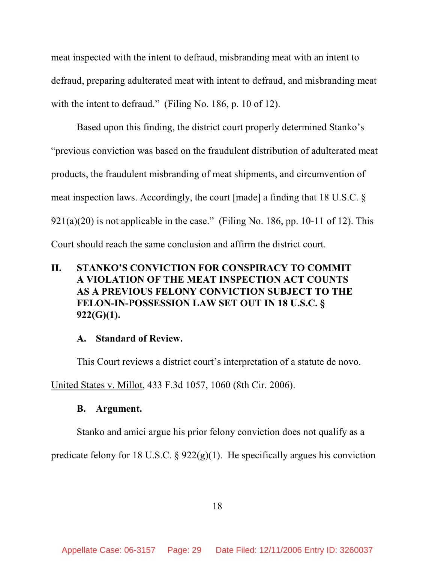meat inspected with the intent to defraud, misbranding meat with an intent to defraud, preparing adulterated meat with intent to defraud, and misbranding meat with the intent to defraud." (Filing No. 186, p. 10 of 12).

Based upon this finding, the district court properly determined Stanko's "previous conviction was based on the fraudulent distribution of adulterated meat products, the fraudulent misbranding of meat shipments, and circumvention of meat inspection laws. Accordingly, the court [made] a finding that 18 U.S.C. §  $921(a)(20)$  is not applicable in the case." (Filing No. 186, pp. 10-11 of 12). This Court should reach the same conclusion and affirm the district court.

# **II. STANKO'S CONVICTION FOR CONSPIRACY TO COMMIT A VIOLATION OF THE MEAT INSPECTION ACT COUNTS AS A PREVIOUS FELONY CONVICTION SUBJECT TO THE FELON-IN-POSSESSION LAW SET OUT IN 18 U.S.C. § 922(G)(1).**

### **A. Standard of Review.**

This Court reviews a district court's interpretation of a statute de novo.

United States v. Millot, 433 F.3d 1057, 1060 (8th Cir. 2006).

### **B. Argument.**

Stanko and amici argue his prior felony conviction does not qualify as a

predicate felony for 18 U.S.C.  $\S$  922(g)(1). He specifically argues his conviction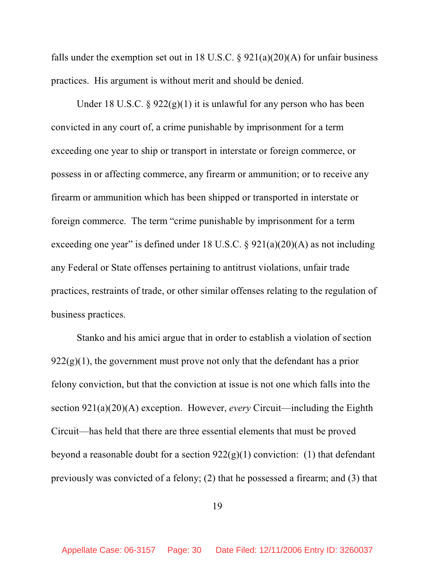falls under the exemption set out in 18 U.S.C.  $\S 921(a)(20)(A)$  for unfair business practices. His argument is without merit and should be denied.

Under 18 U.S.C.  $\S 922(g)(1)$  it is unlawful for any person who has been convicted in any court of, a crime punishable by imprisonment for a term exceeding one year to ship or transport in interstate or foreign commerce, or possess in or affecting commerce, any firearm or ammunition; or to receive any firearm or ammunition which has been shipped or transported in interstate or foreign commerce. The term "crime punishable by imprisonment for a term exceeding one year" is defined under 18 U.S.C.  $\S$  921(a)(20)(A) as not including any Federal or State offenses pertaining to antitrust violations, unfair trade practices, restraints of trade, or other similar offenses relating to the regulation of business practices.

Stanko and his amici argue that in order to establish a violation of section  $922(g)(1)$ , the government must prove not only that the defendant has a prior felony conviction, but that the conviction at issue is not one which falls into the section 921(a)(20)(A) exception. However, *every* Circuit—including the Eighth Circuit—has held that there are three essential elements that must be proved beyond a reasonable doubt for a section  $922(g)(1)$  conviction: (1) that defendant previously was convicted of a felony; (2) that he possessed a firearm; and (3) that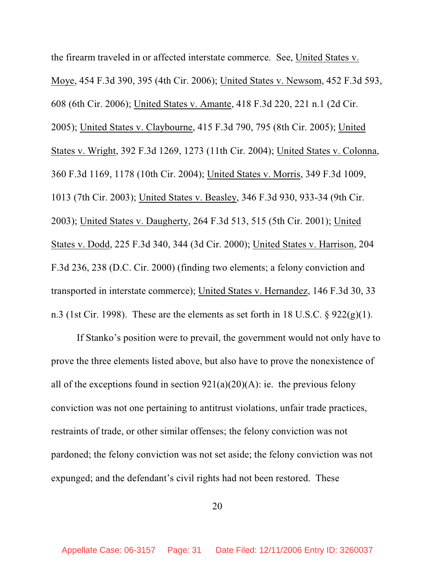the firearm traveled in or affected interstate commerce. See, United States v. Moye, 454 F.3d 390, 395 (4th Cir. 2006); United States v. Newsom, 452 F.3d 593, 608 (6th Cir. 2006); United States v. Amante, 418 F.3d 220, 221 n.1 (2d Cir. 2005); United States v. Claybourne, 415 F.3d 790, 795 (8th Cir. 2005); United States v. Wright, 392 F.3d 1269, 1273 (11th Cir. 2004); United States v. Colonna, 360 F.3d 1169, 1178 (10th Cir. 2004); United States v. Morris, 349 F.3d 1009, 1013 (7th Cir. 2003); United States v. Beasley, 346 F.3d 930, 933-34 (9th Cir. 2003); United States v. Daugherty, 264 F.3d 513, 515 (5th Cir. 2001); United States v. Dodd, 225 F.3d 340, 344 (3d Cir. 2000); United States v. Harrison, 204 F.3d 236, 238 (D.C. Cir. 2000) (finding two elements; a felony conviction and transported in interstate commerce); United States v. Hernandez, 146 F.3d 30, 33 n.3 (1st Cir. 1998). These are the elements as set forth in 18 U.S.C.  $\S$  922(g)(1).

If Stanko's position were to prevail, the government would not only have to prove the three elements listed above, but also have to prove the nonexistence of all of the exceptions found in section  $921(a)(20)(A)$ : ie. the previous felony conviction was not one pertaining to antitrust violations, unfair trade practices, restraints of trade, or other similar offenses; the felony conviction was not pardoned; the felony conviction was not set aside; the felony conviction was not expunged; and the defendant's civil rights had not been restored. These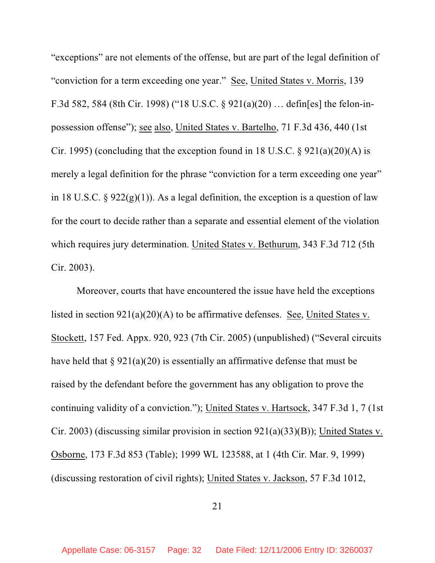"exceptions" are not elements of the offense, but are part of the legal definition of "conviction for a term exceeding one year." See, United States v. Morris, 139 F.3d 582, 584 (8th Cir. 1998) ("18 U.S.C. § 921(a)(20) … defin[es] the felon-inpossession offense"); see also, United States v. Bartelho, 71 F.3d 436, 440 (1st Cir. 1995) (concluding that the exception found in 18 U.S.C.  $\S$  921(a)(20)(A) is merely a legal definition for the phrase "conviction for a term exceeding one year" in 18 U.S.C. §  $922(g)(1)$ ). As a legal definition, the exception is a question of law for the court to decide rather than a separate and essential element of the violation which requires jury determination. United States v. Bethurum, 343 F.3d 712 (5th Cir. 2003).

Moreover, courts that have encountered the issue have held the exceptions listed in section 921(a)(20)(A) to be affirmative defenses. See, United States v. Stockett, 157 Fed. Appx. 920, 923 (7th Cir. 2005) (unpublished) ("Several circuits have held that  $\S 921(a)(20)$  is essentially an affirmative defense that must be raised by the defendant before the government has any obligation to prove the continuing validity of a conviction."); United States v. Hartsock, 347 F.3d 1, 7 (1st Cir. 2003) (discussing similar provision in section 921(a)(33)(B)); United States v. Osborne, 173 F.3d 853 (Table); 1999 WL 123588, at 1 (4th Cir. Mar. 9, 1999) (discussing restoration of civil rights); United States v. Jackson, 57 F.3d 1012,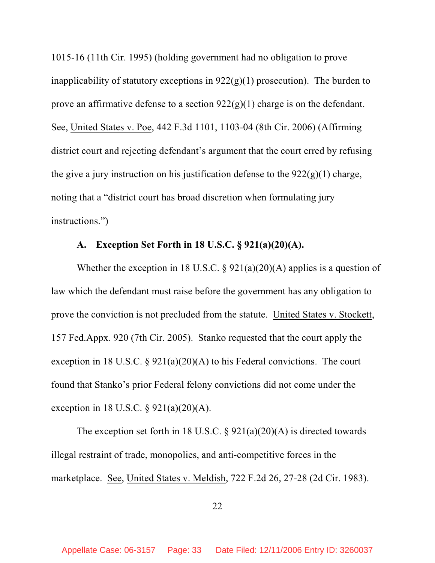1015-16 (11th Cir. 1995) (holding government had no obligation to prove inapplicability of statutory exceptions in  $922(g)(1)$  prosecution). The burden to prove an affirmative defense to a section  $922(g)(1)$  charge is on the defendant. See, United States v. Poe, 442 F.3d 1101, 1103-04 (8th Cir. 2006) (Affirming district court and rejecting defendant's argument that the court erred by refusing the give a jury instruction on his justification defense to the  $922(g)(1)$  charge, noting that a "district court has broad discretion when formulating jury instructions.")

### **A. Exception Set Forth in 18 U.S.C. § 921(a)(20)(A).**

Whether the exception in 18 U.S.C.  $\S$  921(a)(20)(A) applies is a question of law which the defendant must raise before the government has any obligation to prove the conviction is not precluded from the statute. United States v. Stockett, 157 Fed.Appx. 920 (7th Cir. 2005). Stanko requested that the court apply the exception in 18 U.S.C. §  $921(a)(20)(A)$  to his Federal convictions. The court found that Stanko's prior Federal felony convictions did not come under the exception in 18 U.S.C. § 921(a)(20)(A).

The exception set forth in 18 U.S.C. § 921(a)(20)(A) is directed towards illegal restraint of trade, monopolies, and anti-competitive forces in the marketplace. See, United States v. Meldish, 722 F.2d 26, 27-28 (2d Cir. 1983).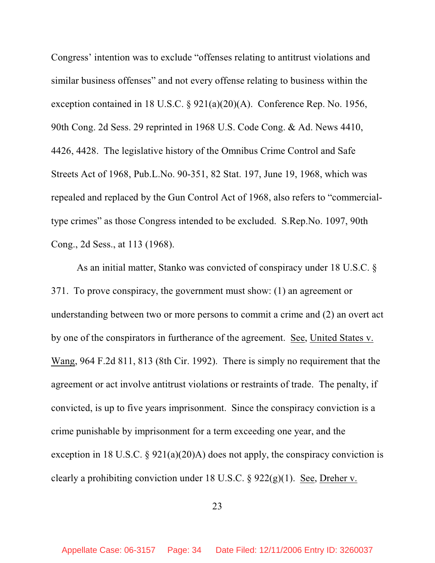Congress' intention was to exclude "offenses relating to antitrust violations and similar business offenses" and not every offense relating to business within the exception contained in 18 U.S.C. § 921(a)(20)(A). Conference Rep. No. 1956, 90th Cong. 2d Sess. 29 reprinted in 1968 U.S. Code Cong. & Ad. News 4410, 4426, 4428. The legislative history of the Omnibus Crime Control and Safe Streets Act of 1968, Pub.L.No. 90-351, 82 Stat. 197, June 19, 1968, which was repealed and replaced by the Gun Control Act of 1968, also refers to "commercialtype crimes" as those Congress intended to be excluded. S.Rep.No. 1097, 90th Cong., 2d Sess., at 113 (1968).

As an initial matter, Stanko was convicted of conspiracy under 18 U.S.C. § 371. To prove conspiracy, the government must show: (1) an agreement or understanding between two or more persons to commit a crime and (2) an overt act by one of the conspirators in furtherance of the agreement. See, United States v. Wang, 964 F.2d 811, 813 (8th Cir. 1992). There is simply no requirement that the agreement or act involve antitrust violations or restraints of trade. The penalty, if convicted, is up to five years imprisonment. Since the conspiracy conviction is a crime punishable by imprisonment for a term exceeding one year, and the exception in 18 U.S.C. § 921(a)(20)A) does not apply, the conspiracy conviction is clearly a prohibiting conviction under 18 U.S.C. § 922(g)(1). See, Dreher v.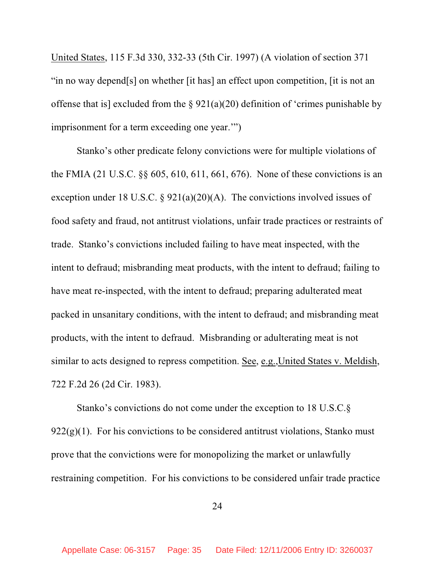United States, 115 F.3d 330, 332-33 (5th Cir. 1997) (A violation of section 371 "in no way depend[s] on whether [it has] an effect upon competition, [it is not an offense that is] excluded from the  $\S 921(a)(20)$  definition of 'crimes punishable by imprisonment for a term exceeding one year.'")

Stanko's other predicate felony convictions were for multiple violations of the FMIA (21 U.S.C. §§ 605, 610, 611, 661, 676). None of these convictions is an exception under 18 U.S.C. §  $921(a)(20)(A)$ . The convictions involved issues of food safety and fraud, not antitrust violations, unfair trade practices or restraints of trade. Stanko's convictions included failing to have meat inspected, with the intent to defraud; misbranding meat products, with the intent to defraud; failing to have meat re-inspected, with the intent to defraud; preparing adulterated meat packed in unsanitary conditions, with the intent to defraud; and misbranding meat products, with the intent to defraud. Misbranding or adulterating meat is not similar to acts designed to repress competition. See, e.g.,United States v. Meldish, 722 F.2d 26 (2d Cir. 1983).

Stanko's convictions do not come under the exception to 18 U.S.C.§  $922(g)(1)$ . For his convictions to be considered antitrust violations, Stanko must prove that the convictions were for monopolizing the market or unlawfully restraining competition. For his convictions to be considered unfair trade practice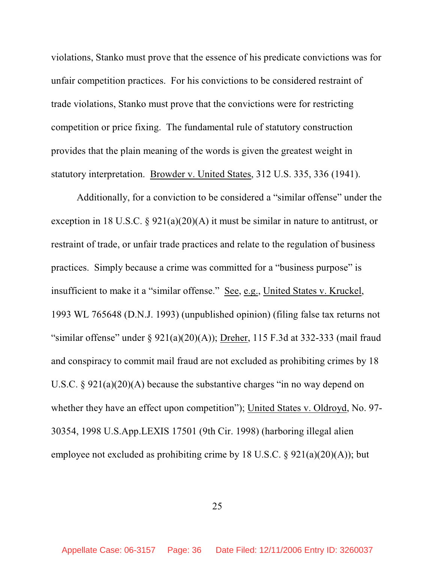violations, Stanko must prove that the essence of his predicate convictions was for unfair competition practices. For his convictions to be considered restraint of trade violations, Stanko must prove that the convictions were for restricting competition or price fixing. The fundamental rule of statutory construction provides that the plain meaning of the words is given the greatest weight in statutory interpretation. Browder v. United States, 312 U.S. 335, 336 (1941).

Additionally, for a conviction to be considered a "similar offense" under the exception in 18 U.S.C. § 921(a)(20)(A) it must be similar in nature to antitrust, or restraint of trade, or unfair trade practices and relate to the regulation of business practices. Simply because a crime was committed for a "business purpose" is insufficient to make it a "similar offense." See, e.g., United States v. Kruckel, 1993 WL 765648 (D.N.J. 1993) (unpublished opinion) (filing false tax returns not "similar offense" under §  $921(a)(20)(A)$ ); Dreher, 115 F.3d at 332-333 (mail fraud and conspiracy to commit mail fraud are not excluded as prohibiting crimes by 18 U.S.C. § 921(a)(20)(A) because the substantive charges "in no way depend on whether they have an effect upon competition"); United States v. Oldroyd, No. 97- 30354, 1998 U.S.App.LEXIS 17501 (9th Cir. 1998) (harboring illegal alien employee not excluded as prohibiting crime by 18 U.S.C.  $\S$  921(a)(20)(A)); but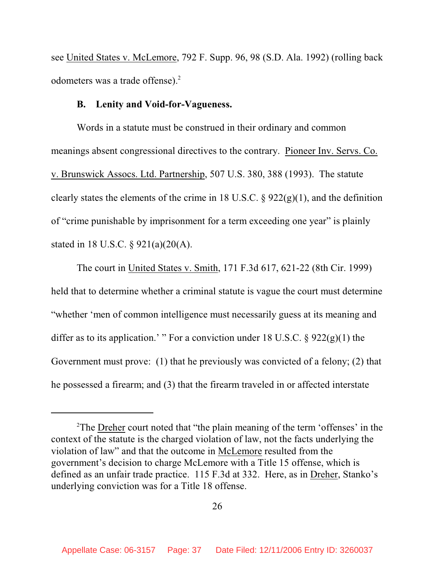see United States v. McLemore, 792 F. Supp. 96, 98 (S.D. Ala. 1992) (rolling back odometers was a trade offense).<sup>2</sup>

#### **B. Lenity and Void-for-Vagueness.**

Words in a statute must be construed in their ordinary and common meanings absent congressional directives to the contrary. Pioneer Inv. Servs. Co. v. Brunswick Assocs. Ltd. Partnership, 507 U.S. 380, 388 (1993). The statute clearly states the elements of the crime in 18 U.S.C.  $\S 922(g)(1)$ , and the definition of "crime punishable by imprisonment for a term exceeding one year" is plainly stated in 18 U.S.C. § 921(a)(20(A).

The court in United States v. Smith, 171 F.3d 617, 621-22 (8th Cir. 1999) held that to determine whether a criminal statute is vague the court must determine "whether 'men of common intelligence must necessarily guess at its meaning and differ as to its application.' " For a conviction under 18 U.S.C.  $\S$  922(g)(1) the Government must prove: (1) that he previously was convicted of a felony; (2) that he possessed a firearm; and (3) that the firearm traveled in or affected interstate

<sup>&</sup>lt;sup>2</sup>The **Dreher** court noted that "the plain meaning of the term 'offenses' in the context of the statute is the charged violation of law, not the facts underlying the violation of law" and that the outcome in McLemore resulted from the government's decision to charge McLemore with a Title 15 offense, which is defined as an unfair trade practice. 115 F.3d at 332. Here, as in Dreher, Stanko's underlying conviction was for a Title 18 offense.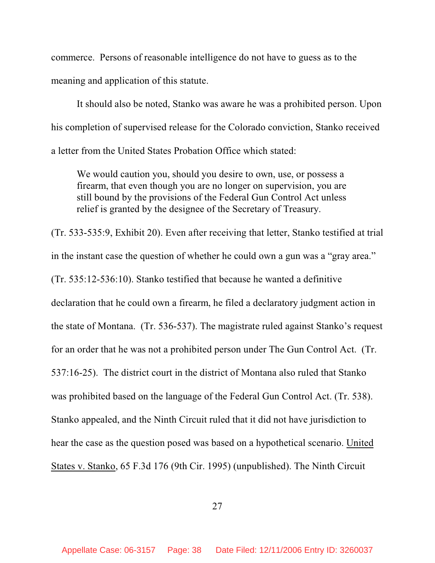commerce. Persons of reasonable intelligence do not have to guess as to the meaning and application of this statute.

It should also be noted, Stanko was aware he was a prohibited person. Upon his completion of supervised release for the Colorado conviction, Stanko received a letter from the United States Probation Office which stated:

We would caution you, should you desire to own, use, or possess a firearm, that even though you are no longer on supervision, you are still bound by the provisions of the Federal Gun Control Act unless relief is granted by the designee of the Secretary of Treasury.

(Tr. 533-535:9, Exhibit 20). Even after receiving that letter, Stanko testified at trial in the instant case the question of whether he could own a gun was a "gray area." (Tr. 535:12-536:10). Stanko testified that because he wanted a definitive declaration that he could own a firearm, he filed a declaratory judgment action in the state of Montana. (Tr. 536-537). The magistrate ruled against Stanko's request for an order that he was not a prohibited person under The Gun Control Act. (Tr. 537:16-25). The district court in the district of Montana also ruled that Stanko was prohibited based on the language of the Federal Gun Control Act. (Tr. 538). Stanko appealed, and the Ninth Circuit ruled that it did not have jurisdiction to hear the case as the question posed was based on a hypothetical scenario. United States v. Stanko, 65 F.3d 176 (9th Cir. 1995) (unpublished). The Ninth Circuit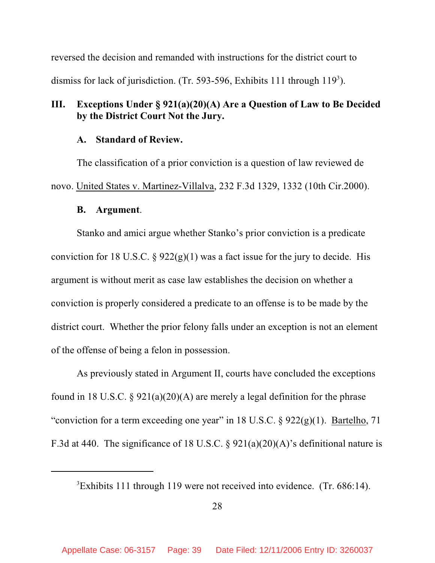reversed the decision and remanded with instructions for the district court to dismiss for lack of jurisdiction. (Tr. 593-596, Exhibits 111 through  $119<sup>3</sup>$ ).

# **III. Exceptions Under § 921(a)(20)(A) Are a Question of Law to Be Decided by the District Court Not the Jury.**

#### **A. Standard of Review.**

The classification of a prior conviction is a question of law reviewed de novo. United States v. Martinez-Villalva, 232 F.3d 1329, 1332 (10th Cir.2000).

#### **B. Argument**.

Stanko and amici argue whether Stanko's prior conviction is a predicate conviction for 18 U.S.C. §  $922(g)(1)$  was a fact issue for the jury to decide. His argument is without merit as case law establishes the decision on whether a conviction is properly considered a predicate to an offense is to be made by the district court. Whether the prior felony falls under an exception is not an element of the offense of being a felon in possession.

As previously stated in Argument II, courts have concluded the exceptions found in 18 U.S.C. §  $921(a)(20)(A)$  are merely a legal definition for the phrase "conviction for a term exceeding one year" in 18 U.S.C.  $\S$  922(g)(1). Bartelho, 71 F.3d at 440. The significance of 18 U.S.C. §  $921(a)(20)(A)$ 's definitional nature is

<sup>&</sup>lt;sup>3</sup>Exhibits 111 through 119 were not received into evidence. (Tr. 686:14).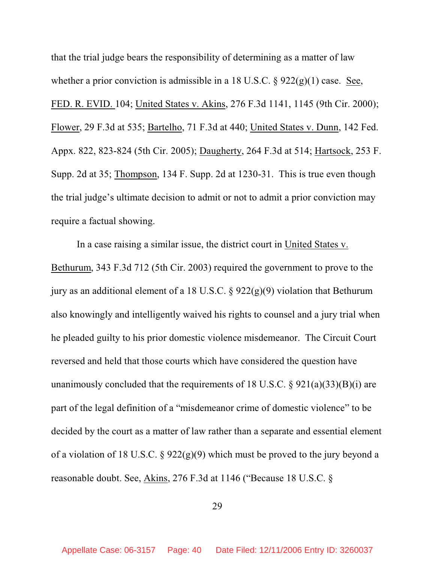that the trial judge bears the responsibility of determining as a matter of law whether a prior conviction is admissible in a 18 U.S.C.  $\S$  922(g)(1) case. See, FED. R. EVID. 104; United States v. Akins, 276 F.3d 1141, 1145 (9th Cir. 2000); Flower, 29 F.3d at 535; Bartelho, 71 F.3d at 440; United States v. Dunn, 142 Fed. Appx. 822, 823-824 (5th Cir. 2005); Daugherty, 264 F.3d at 514; Hartsock, 253 F. Supp. 2d at 35; Thompson, 134 F. Supp. 2d at 1230-31. This is true even though the trial judge's ultimate decision to admit or not to admit a prior conviction may require a factual showing.

In a case raising a similar issue, the district court in United States v. Bethurum, 343 F.3d 712 (5th Cir. 2003) required the government to prove to the jury as an additional element of a 18 U.S.C.  $\S$  922(g)(9) violation that Bethurum also knowingly and intelligently waived his rights to counsel and a jury trial when he pleaded guilty to his prior domestic violence misdemeanor. The Circuit Court reversed and held that those courts which have considered the question have unanimously concluded that the requirements of 18 U.S.C.  $\S$  921(a)(33)(B)(i) are part of the legal definition of a "misdemeanor crime of domestic violence" to be decided by the court as a matter of law rather than a separate and essential element of a violation of 18 U.S.C. § 922(g)(9) which must be proved to the jury beyond a reasonable doubt. See, Akins, 276 F.3d at 1146 ("Because 18 U.S.C. §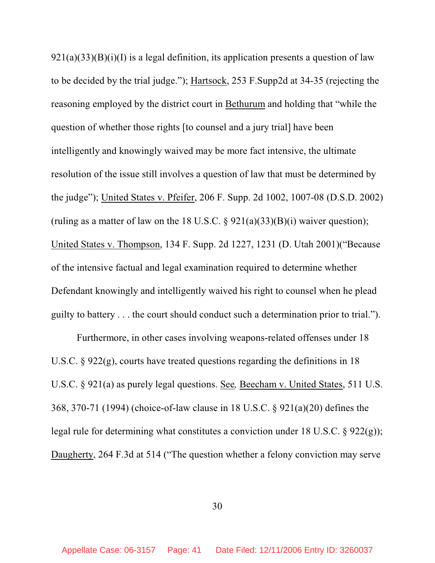$921(a)(33)(B)(i)(I)$  is a legal definition, its application presents a question of law to be decided by the trial judge."); Hartsock, 253 F.Supp2d at 34-35 (rejecting the reasoning employed by the district court in Bethurum and holding that "while the question of whether those rights [to counsel and a jury trial] have been intelligently and knowingly waived may be more fact intensive, the ultimate resolution of the issue still involves a question of law that must be determined by the judge"); United States v. Pfeifer, 206 F. Supp. 2d 1002, 1007-08 (D.S.D. 2002) (ruling as a matter of law on the 18 U.S.C.  $\S$  921(a)(33)(B)(i) waiver question); United States v. Thompson, 134 F. Supp. 2d 1227, 1231 (D. Utah 2001)("Because of the intensive factual and legal examination required to determine whether Defendant knowingly and intelligently waived his right to counsel when he plead guilty to battery . . . the court should conduct such a determination prior to trial.").

Furthermore, in other cases involving weapons-related offenses under 18 U.S.C.  $\S 922(g)$ , courts have treated questions regarding the definitions in 18 U.S.C. § 921(a) as purely legal questions. See*,* Beecham v. United States, 511 U.S. 368, 370-71 (1994) (choice-of-law clause in 18 U.S.C. § 921(a)(20) defines the legal rule for determining what constitutes a conviction under 18 U.S.C. § 922(g)); Daugherty, 264 F.3d at 514 ("The question whether a felony conviction may serve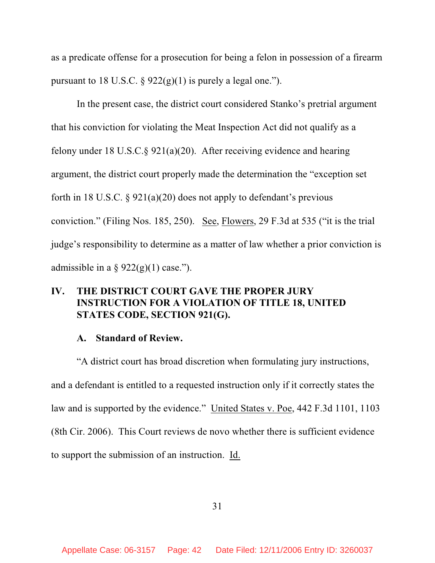as a predicate offense for a prosecution for being a felon in possession of a firearm pursuant to 18 U.S.C.  $\S 922(g)(1)$  is purely a legal one.").

In the present case, the district court considered Stanko's pretrial argument that his conviction for violating the Meat Inspection Act did not qualify as a felony under 18 U.S.C.§ 921(a)(20). After receiving evidence and hearing argument, the district court properly made the determination the "exception set forth in 18 U.S.C. § 921(a)(20) does not apply to defendant's previous conviction." (Filing Nos. 185, 250). See, Flowers, 29 F.3d at 535 ("it is the trial judge's responsibility to determine as a matter of law whether a prior conviction is admissible in a  $\S 922(g)(1)$  case.").

## **IV. THE DISTRICT COURT GAVE THE PROPER JURY INSTRUCTION FOR A VIOLATION OF TITLE 18, UNITED STATES CODE, SECTION 921(G).**

#### **A. Standard of Review.**

"A district court has broad discretion when formulating jury instructions, and a defendant is entitled to a requested instruction only if it correctly states the law and is supported by the evidence." United States v. Poe, 442 F.3d 1101, 1103 (8th Cir. 2006). This Court reviews de novo whether there is sufficient evidence to support the submission of an instruction. Id.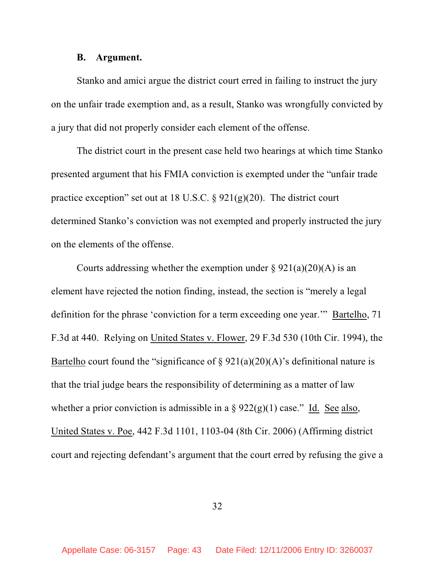#### **B. Argument.**

Stanko and amici argue the district court erred in failing to instruct the jury on the unfair trade exemption and, as a result, Stanko was wrongfully convicted by a jury that did not properly consider each element of the offense.

The district court in the present case held two hearings at which time Stanko presented argument that his FMIA conviction is exempted under the "unfair trade practice exception" set out at 18 U.S.C. § 921(g)(20). The district court determined Stanko's conviction was not exempted and properly instructed the jury on the elements of the offense.

Courts addressing whether the exemption under  $\S 921(a)(20)(A)$  is an element have rejected the notion finding, instead, the section is "merely a legal definition for the phrase 'conviction for a term exceeding one year.'" Bartelho, 71 F.3d at 440. Relying on United States v. Flower, 29 F.3d 530 (10th Cir. 1994), the Bartelho court found the "significance of  $\S 921(a)(20)(A)$ " sdefinitional nature is that the trial judge bears the responsibility of determining as a matter of law whether a prior conviction is admissible in a  $\S 922(g)(1)$  case." Id. See also, United States v. Poe, 442 F.3d 1101, 1103-04 (8th Cir. 2006) (Affirming district court and rejecting defendant's argument that the court erred by refusing the give a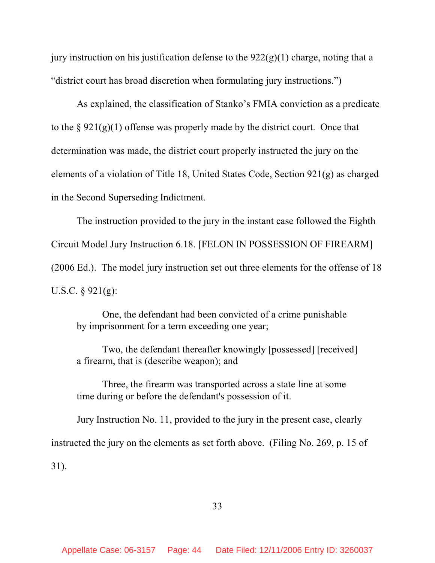jury instruction on his justification defense to the  $922(g)(1)$  charge, noting that a "district court has broad discretion when formulating jury instructions.")

As explained, the classification of Stanko's FMIA conviction as a predicate to the  $\S 921(g)(1)$  offense was properly made by the district court. Once that determination was made, the district court properly instructed the jury on the elements of a violation of Title 18, United States Code, Section 921(g) as charged in the Second Superseding Indictment.

The instruction provided to the jury in the instant case followed the Eighth Circuit Model Jury Instruction 6.18. [FELON IN POSSESSION OF FIREARM] (2006 Ed.). The model jury instruction set out three elements for the offense of 18 U.S.C. § 921(g):

One, the defendant had been convicted of a crime punishable by imprisonment for a term exceeding one year;

Two, the defendant thereafter knowingly [possessed] [received] a firearm, that is (describe weapon); and

Three, the firearm was transported across a state line at some time during or before the defendant's possession of it.

Jury Instruction No. 11, provided to the jury in the present case, clearly instructed the jury on the elements as set forth above. (Filing No. 269, p. 15 of 31).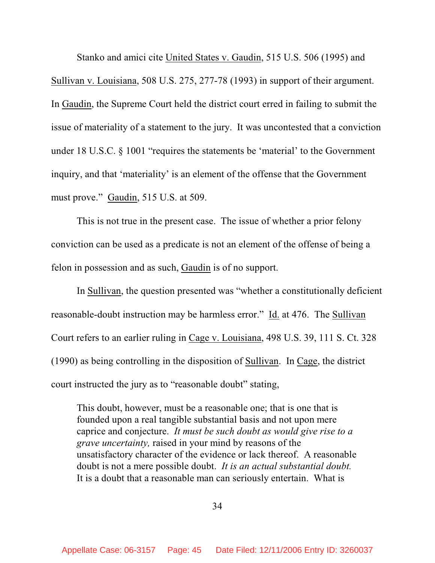Stanko and amici cite United States v. Gaudin, 515 U.S. 506 (1995) and Sullivan v. Louisiana, 508 U.S. 275, 277-78 (1993) in support of their argument. In Gaudin, the Supreme Court held the district court erred in failing to submit the issue of materiality of a statement to the jury. It was uncontested that a conviction under 18 U.S.C. § 1001 "requires the statements be 'material' to the Government inquiry, and that 'materiality' is an element of the offense that the Government must prove." Gaudin, 515 U.S. at 509.

This is not true in the present case. The issue of whether a prior felony conviction can be used as a predicate is not an element of the offense of being a felon in possession and as such, Gaudin is of no support.

In Sullivan, the question presented was "whether a constitutionally deficient reasonable-doubt instruction may be harmless error." Id. at 476. The Sullivan Court refers to an earlier ruling in Cage v. Louisiana, 498 U.S. 39, 111 S. Ct. 328 (1990) as being controlling in the disposition of Sullivan. In Cage, the district court instructed the jury as to "reasonable doubt" stating,

This doubt, however, must be a reasonable one; that is one that is founded upon a real tangible substantial basis and not upon mere caprice and conjecture. *It must be such doubt as would give rise to a grave uncertainty,* raised in your mind by reasons of the unsatisfactory character of the evidence or lack thereof. A reasonable doubt is not a mere possible doubt. *It is an actual substantial doubt.* It is a doubt that a reasonable man can seriously entertain. What is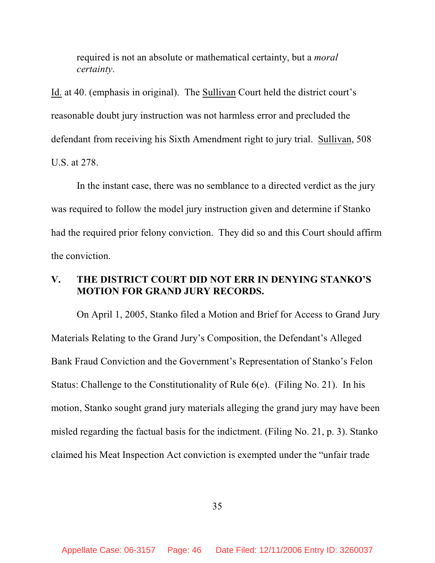required is not an absolute or mathematical certainty, but a *moral certainty*.

Id. at 40. (emphasis in original). The Sullivan Court held the district court's reasonable doubt jury instruction was not harmless error and precluded the defendant from receiving his Sixth Amendment right to jury trial. Sullivan, 508 U.S. at 278.

In the instant case, there was no semblance to a directed verdict as the jury was required to follow the model jury instruction given and determine if Stanko had the required prior felony conviction. They did so and this Court should affirm the conviction.

## **V. THE DISTRICT COURT DID NOT ERR IN DENYING STANKO'S MOTION FOR GRAND JURY RECORDS.**

On April 1, 2005, Stanko filed a Motion and Brief for Access to Grand Jury Materials Relating to the Grand Jury's Composition, the Defendant's Alleged Bank Fraud Conviction and the Government's Representation of Stanko's Felon Status: Challenge to the Constitutionality of Rule 6(e). (Filing No. 21). In his motion, Stanko sought grand jury materials alleging the grand jury may have been misled regarding the factual basis for the indictment. (Filing No. 21, p. 3). Stanko claimed his Meat Inspection Act conviction is exempted under the "unfair trade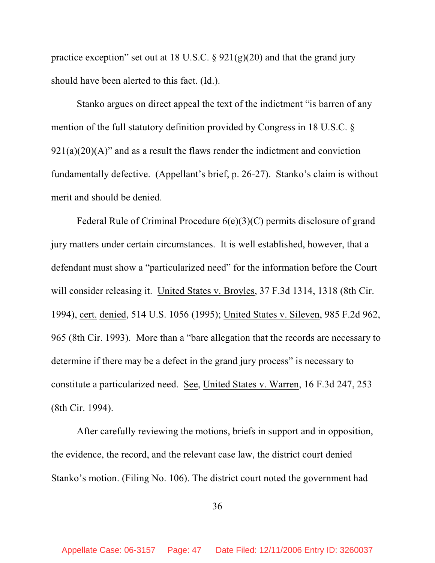practice exception" set out at 18 U.S.C.  $\S$  921(g)(20) and that the grand jury should have been alerted to this fact. (Id.).

Stanko argues on direct appeal the text of the indictment "is barren of any mention of the full statutory definition provided by Congress in 18 U.S.C. §  $921(a)(20)(A)$ " and as a result the flaws render the indictment and conviction fundamentally defective. (Appellant's brief, p. 26-27). Stanko's claim is without merit and should be denied.

Federal Rule of Criminal Procedure 6(e)(3)(C) permits disclosure of grand jury matters under certain circumstances. It is well established, however, that a defendant must show a "particularized need" for the information before the Court will consider releasing it. United States v. Broyles, 37 F.3d 1314, 1318 (8th Cir. 1994), cert. denied, 514 U.S. 1056 (1995); United States v. Sileven, 985 F.2d 962, 965 (8th Cir. 1993). More than a "bare allegation that the records are necessary to determine if there may be a defect in the grand jury process" is necessary to constitute a particularized need. See, United States v. Warren, 16 F.3d 247, 253 (8th Cir. 1994).

After carefully reviewing the motions, briefs in support and in opposition, the evidence, the record, and the relevant case law, the district court denied Stanko's motion. (Filing No. 106). The district court noted the government had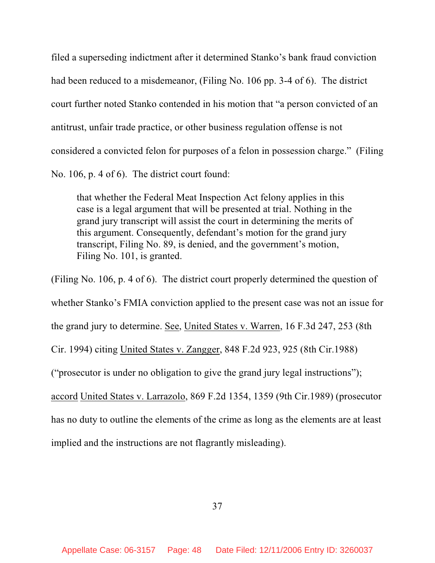filed a superseding indictment after it determined Stanko's bank fraud conviction had been reduced to a misdemeanor, (Filing No. 106 pp. 3-4 of 6). The district court further noted Stanko contended in his motion that "a person convicted of an antitrust, unfair trade practice, or other business regulation offense is not considered a convicted felon for purposes of a felon in possession charge." (Filing No. 106, p. 4 of 6). The district court found:

that whether the Federal Meat Inspection Act felony applies in this case is a legal argument that will be presented at trial. Nothing in the grand jury transcript will assist the court in determining the merits of this argument. Consequently, defendant's motion for the grand jury transcript, Filing No. 89, is denied, and the government's motion, Filing No. 101, is granted.

(Filing No. 106, p. 4 of 6). The district court properly determined the question of whether Stanko's FMIA conviction applied to the present case was not an issue for the grand jury to determine. See, United States v. Warren, 16 F.3d 247, 253 (8th Cir. 1994) citing United States v. Zangger, 848 F.2d 923, 925 (8th Cir.1988) ("prosecutor is under no obligation to give the grand jury legal instructions"); accord United States v. Larrazolo, 869 F.2d 1354, 1359 (9th Cir.1989) (prosecutor has no duty to outline the elements of the crime as long as the elements are at least implied and the instructions are not flagrantly misleading).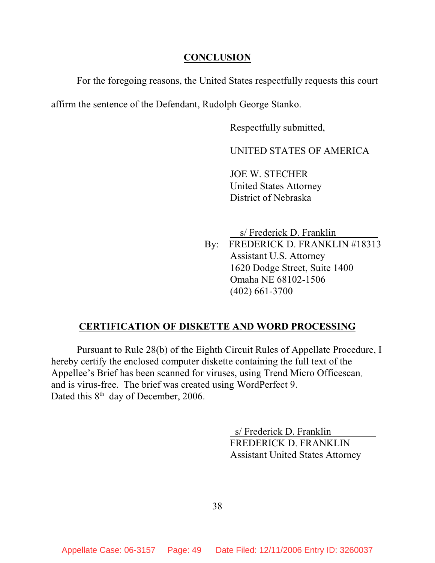### **CONCLUSION**

For the foregoing reasons, the United States respectfully requests this court

affirm the sentence of the Defendant, Rudolph George Stanko.

Respectfully submitted,

UNITED STATES OF AMERICA

JOE W. STECHER United States Attorney District of Nebraska

 s/ Frederick D. Franklin By: FREDERICK D. FRANKLIN #18313 Assistant U.S. Attorney 1620 Dodge Street, Suite 1400 Omaha NE 68102-1506 (402) 661-3700

### **CERTIFICATION OF DISKETTE AND WORD PROCESSING**

Pursuant to Rule 28(b) of the Eighth Circuit Rules of Appellate Procedure, I hereby certify the enclosed computer diskette containing the full text of the Appellee's Brief has been scanned for viruses, using Trend Micro Officescan, and is virus-free. The brief was created using WordPerfect 9. Dated this  $8<sup>th</sup>$  day of December, 2006.

> s/ Frederick D. Franklin FREDERICK D. FRANKLIN Assistant United States Attorney